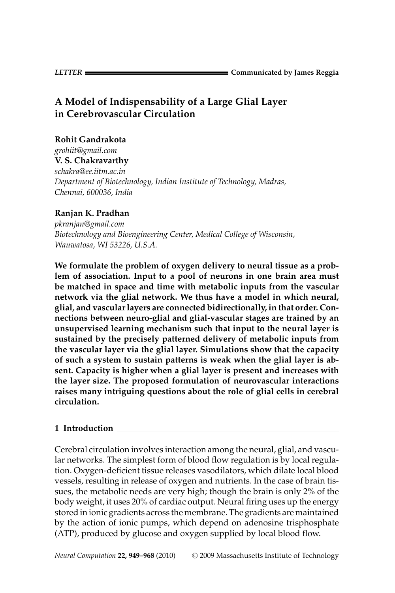# **A Model of Indispensability of a Large Glial Layer in Cerebrovascular Circulation**

### **Rohit Gandrakota**

*grohiit@gmail.com* **V. S. Chakravarthy**

*schakra@ee.iitm.ac.in Department of Biotechnology, Indian Institute of Technology, Madras, Chennai, 600036, India*

# **Ranjan K. Pradhan**

*pkranjan@gmail.com Biotechnology and Bioengineering Center, Medical College of Wisconsin, Wauwatosa, WI 53226, U.S.A.*

**We formulate the problem of oxygen delivery to neural tissue as a problem of association. Input to a pool of neurons in one brain area must be matched in space and time with metabolic inputs from the vascular network via the glial network. We thus have a model in which neural, glial, and vascular layers are connected bidirectionally, in that order. Connections between neuro-glial and glial-vascular stages are trained by an unsupervised learning mechanism such that input to the neural layer is sustained by the precisely patterned delivery of metabolic inputs from the vascular layer via the glial layer. Simulations show that the capacity of such a system to sustain patterns is weak when the glial layer is absent. Capacity is higher when a glial layer is present and increases with the layer size. The proposed formulation of neurovascular interactions raises many intriguing questions about the role of glial cells in cerebral circulation.**

# **1 Introduction**

Cerebral circulation involves interaction among the neural, glial, and vascular networks. The simplest form of blood flow regulation is by local regulation. Oxygen-deficient tissue releases vasodilators, which dilate local blood vessels, resulting in release of oxygen and nutrients. In the case of brain tissues, the metabolic needs are very high; though the brain is only 2% of the body weight, it uses 20% of cardiac output. Neural firing uses up the energy stored in ionic gradients across the membrane. The gradients are maintained by the action of ionic pumps, which depend on adenosine trisphosphate (ATP), produced by glucose and oxygen supplied by local blood flow.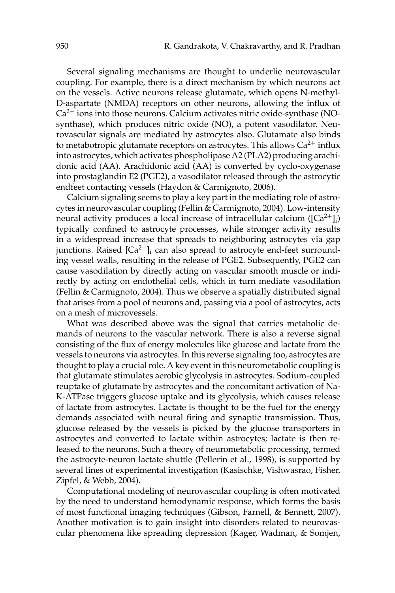Several signaling mechanisms are thought to underlie neurovascular coupling. For example, there is a direct mechanism by which neurons act on the vessels. Active neurons release glutamate, which opens N-methyl-D-aspartate (NMDA) receptors on other neurons, allowing the influx of  $Ca<sup>2+</sup>$  ions into those neurons. Calcium activates nitric oxide-synthase (NOsynthase), which produces nitric oxide (NO), a potent vasodilator. Neurovascular signals are mediated by astrocytes also. Glutamate also binds to metabotropic glutamate receptors on astrocytes. This allows  $Ca^{2+}$  influx into astrocytes, which activates phospholipase A2 (PLA2) producing arachidonic acid (AA). Arachidonic acid (AA) is converted by cyclo-oxygenase into prostaglandin E2 (PGE2), a vasodilator released through the astrocytic endfeet contacting vessels (Haydon & Carmignoto, 2006).

Calcium signaling seems to play a key part in the mediating role of astrocytes in neurovascular coupling (Fellin & Carmignoto, 2004). Low-intensity neural activity produces a local increase of intracellular calcium ( $[Ca^{2+}]_i$ ) typically confined to astrocyte processes, while stronger activity results in a widespread increase that spreads to neighboring astrocytes via gap junctions. Raised  $\left[Ca^{2+}\right]$  can also spread to astrocyte end-feet surrounding vessel walls, resulting in the release of PGE2. Subsequently, PGE2 can cause vasodilation by directly acting on vascular smooth muscle or indirectly by acting on endothelial cells, which in turn mediate vasodilation (Fellin & Carmignoto, 2004). Thus we observe a spatially distributed signal that arises from a pool of neurons and, passing via a pool of astrocytes, acts on a mesh of microvessels.

What was described above was the signal that carries metabolic demands of neurons to the vascular network. There is also a reverse signal consisting of the flux of energy molecules like glucose and lactate from the vessels to neurons via astrocytes. In this reverse signaling too, astrocytes are thought to play a crucial role. A key event in this neurometabolic coupling is that glutamate stimulates aerobic glycolysis in astrocytes. Sodium-coupled reuptake of glutamate by astrocytes and the concomitant activation of Na-K-ATPase triggers glucose uptake and its glycolysis, which causes release of lactate from astrocytes. Lactate is thought to be the fuel for the energy demands associated with neural firing and synaptic transmission. Thus, glucose released by the vessels is picked by the glucose transporters in astrocytes and converted to lactate within astrocytes; lactate is then released to the neurons. Such a theory of neurometabolic processing, termed the astrocyte-neuron lactate shuttle (Pellerin et al., 1998), is supported by several lines of experimental investigation (Kasischke, Vishwasrao, Fisher, Zipfel, & Webb, 2004).

Computational modeling of neurovascular coupling is often motivated by the need to understand hemodynamic response, which forms the basis of most functional imaging techniques (Gibson, Farnell, & Bennett, 2007). Another motivation is to gain insight into disorders related to neurovascular phenomena like spreading depression (Kager, Wadman, & Somjen,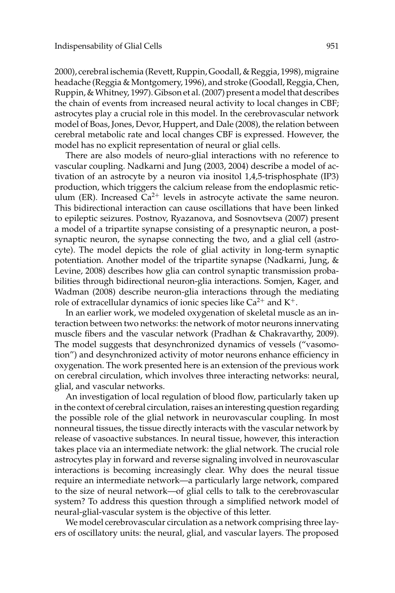2000), cerebral ischemia (Revett, Ruppin, Goodall, & Reggia, 1998), migraine headache (Reggia & Montgomery, 1996), and stroke (Goodall, Reggia, Chen, Ruppin, & Whitney, 1997). Gibson et al. (2007) present a model that describes the chain of events from increased neural activity to local changes in CBF; astrocytes play a crucial role in this model. In the cerebrovascular network model of Boas, Jones, Devor, Huppert, and Dale (2008), the relation between cerebral metabolic rate and local changes CBF is expressed. However, the model has no explicit representation of neural or glial cells.

There are also models of neuro-glial interactions with no reference to vascular coupling. Nadkarni and Jung (2003, 2004) describe a model of activation of an astrocyte by a neuron via inositol 1,4,5-trisphosphate (IP3) production, which triggers the calcium release from the endoplasmic reticulum (ER). Increased  $Ca^{2+}$  levels in astrocyte activate the same neuron. This bidirectional interaction can cause oscillations that have been linked to epileptic seizures. Postnov, Ryazanova, and Sosnovtseva (2007) present a model of a tripartite synapse consisting of a presynaptic neuron, a postsynaptic neuron, the synapse connecting the two, and a glial cell (astrocyte). The model depicts the role of glial activity in long-term synaptic potentiation. Another model of the tripartite synapse (Nadkarni, Jung,  $\&$ Levine, 2008) describes how glia can control synaptic transmission probabilities through bidirectional neuron-glia interactions. Somjen, Kager, and Wadman (2008) describe neuron-glia interactions through the mediating role of extracellular dynamics of ionic species like  $Ca^{2+}$  and  $K^{+}$ .

In an earlier work, we modeled oxygenation of skeletal muscle as an interaction between two networks: the network of motor neurons innervating muscle fibers and the vascular network (Pradhan & Chakravarthy, 2009). The model suggests that desynchronized dynamics of vessels ("vasomotion") and desynchronized activity of motor neurons enhance efficiency in oxygenation. The work presented here is an extension of the previous work on cerebral circulation, which involves three interacting networks: neural, glial, and vascular networks.

An investigation of local regulation of blood flow, particularly taken up in the context of cerebral circulation, raises an interesting question regarding the possible role of the glial network in neurovascular coupling. In most nonneural tissues, the tissue directly interacts with the vascular network by release of vasoactive substances. In neural tissue, however, this interaction takes place via an intermediate network: the glial network. The crucial role astrocytes play in forward and reverse signaling involved in neurovascular interactions is becoming increasingly clear. Why does the neural tissue require an intermediate network—a particularly large network, compared to the size of neural network—of glial cells to talk to the cerebrovascular system? To address this question through a simplified network model of neural-glial-vascular system is the objective of this letter.

We model cerebrovascular circulation as a network comprising three layers of oscillatory units: the neural, glial, and vascular layers. The proposed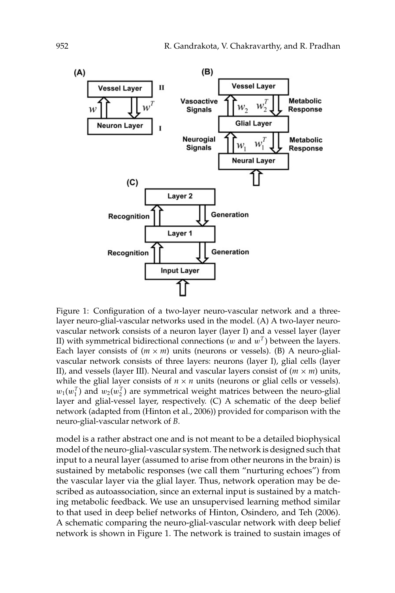

Figure 1: Configuration of a two-layer neuro-vascular network and a threelayer neuro-glial-vascular networks used in the model. (A) A two-layer neurovascular network consists of a neuron layer (layer I) and a vessel layer (layer II) with symmetrical bidirectional connections ( $w$  and  $w<sup>T</sup>$ ) between the layers. Each layer consists of  $(m \times m)$  units (neurons or vessels). (B) A neuro-glialvascular network consists of three layers: neurons (layer I), glial cells (layer II), and vessels (layer III). Neural and vascular layers consist of  $(m \times m)$  units, while the glial layer consists of  $n \times n$  units (neurons or glial cells or vessels).  $w_1(w_1^T)$  and  $w_2(w_2^T)$  are symmetrical weight matrices between the neuro-glial layer and glial-vessel layer, respectively. (C) A schematic of the deep belief network (adapted from (Hinton et al., 2006)) provided for comparison with the neuro-glial-vascular network of *B*.

model is a rather abstract one and is not meant to be a detailed biophysical model of the neuro-glial-vascular system. The network is designed such that input to a neural layer (assumed to arise from other neurons in the brain) is sustained by metabolic responses (we call them "nurturing echoes") from the vascular layer via the glial layer. Thus, network operation may be described as autoassociation, since an external input is sustained by a matching metabolic feedback. We use an unsupervised learning method similar to that used in deep belief networks of Hinton, Osindero, and Teh (2006). A schematic comparing the neuro-glial-vascular network with deep belief network is shown in Figure 1. The network is trained to sustain images of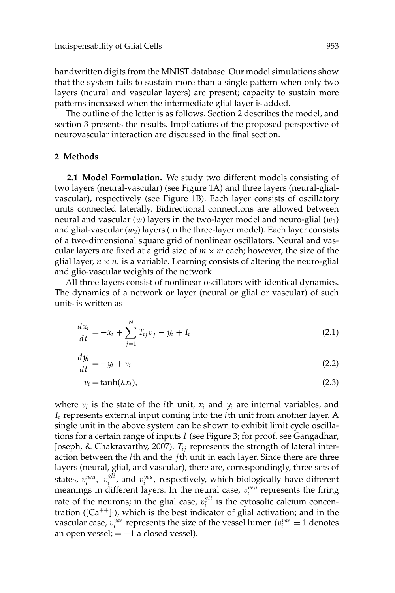handwritten digits from the MNIST database. Our model simulations show that the system fails to sustain more than a single pattern when only two layers (neural and vascular layers) are present; capacity to sustain more patterns increased when the intermediate glial layer is added.

The outline of the letter is as follows. Section 2 describes the model, and section 3 presents the results. Implications of the proposed perspective of neurovascular interaction are discussed in the final section.

#### **2 Methods**

**2.1 Model Formulation.** We study two different models consisting of two layers (neural-vascular) (see Figure 1A) and three layers (neural-glialvascular), respectively (see Figure 1B). Each layer consists of oscillatory units connected laterally. Bidirectional connections are allowed between neural and vascular  $(w)$  layers in the two-layer model and neuro-glial  $(w_1)$ and glial-vascular  $(w_2)$  layers (in the three-layer model). Each layer consists of a two-dimensional square grid of nonlinear oscillators. Neural and vascular layers are fixed at a grid size of  $m \times m$  each; however, the size of the glial layer,  $n \times n$ , is a variable. Learning consists of altering the neuro-glial and glio-vascular weights of the network.

All three layers consist of nonlinear oscillators with identical dynamics. The dynamics of a network or layer (neural or glial or vascular) of such units is written as

$$
\frac{dx_i}{dt} = -x_i + \sum_{j=1}^{N} T_{ij}v_j - y_i + I_i
$$
\n(2.1)

$$
\frac{dy_i}{dt} = -y_i + v_i \tag{2.2}
$$

$$
v_i = \tanh(\lambda x_i),\tag{2.3}
$$

where  $v_i$  is the state of the *i*th unit,  $x_i$  and  $y_i$  are internal variables, and *I<sup>i</sup>* represents external input coming into the *i*th unit from another layer. A single unit in the above system can be shown to exhibit limit cycle oscillations for a certain range of inputs *I* (see Figure 3; for proof, see Gangadhar, Joseph, & Chakravarthy, 2007). *T<sub>ij</sub>* represents the strength of lateral interaction between the *i*th and the *j*th unit in each layer. Since there are three layers (neural, glial, and vascular), there are, correspondingly, three sets of states,  $v_i^{neu}$ ,  $v_i^{gli}$ , and  $v_i^{vas}$ , respectively, which biologically have different meanings in different layers. In the neural case,  $v_i^{neu}$  represents the firing rate of the neurons; in the glial case,  $v_i^{gli}$  is the cytosolic calcium concentration ( $[Ca^{++}]_i$ ), which is the best indicator of glial activation; and in the vascular case,  $v_i^{vas}$  represents the size of the vessel lumen ( $v_i^{vas} = 1$  denotes an open vessel;  $= -1$  a closed vessel).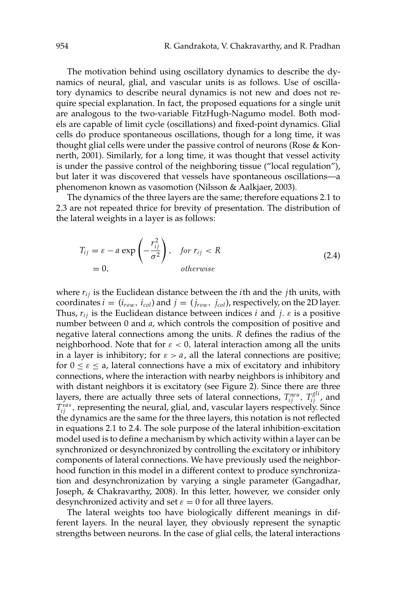The motivation behind using oscillatory dynamics to describe the dynamics of neural, glial, and vascular units is as follows. Use of oscillatory dynamics to describe neural dynamics is not new and does not require special explanation. In fact, the proposed equations for a single unit are analogous to the two-variable FitzHugh-Nagumo model. Both models are capable of limit cycle (oscillations) and fixed-point dynamics. Glial cells do produce spontaneous oscillations, though for a long time, it was thought glial cells were under the passive control of neurons (Rose & Konnerth, 2001). Similarly, for a long time, it was thought that vessel activity is under the passive control of the neighboring tissue ("local regulation"), but later it was discovered that vessels have spontaneous oscillations—a phenomenon known as vasomotion (Nilsson & Aalkjaer, 2003).

The dynamics of the three layers are the same; therefore equations 2.1 to 2.3 are not repeated thrice for brevity of presentation. The distribution of the lateral weights in a layer is as follows:

$$
T_{ij} = \varepsilon - a \exp\left(-\frac{r_{ij}^2}{\sigma^2}\right), \quad \text{for } r_{ij} < R
$$
\n
$$
= 0, \qquad \text{otherwise}
$$
\n
$$
(2.4)
$$

where  $r_{ij}$  is the Euclidean distance between the *i*th and the *j*th units, with coordinates  $i = (i_{row}, i_{col})$  and  $j = (j_{row}, j_{col})$ , respectively, on the 2D layer. Thus,  $r_{ij}$  is the Euclidean distance between indices *i* and *j*.  $\varepsilon$  is a positive number between 0 and *a*, which controls the composition of positive and negative lateral connections among the units. *R* defines the radius of the neighborhood. Note that for  $\varepsilon < 0$ , lateral interaction among all the units in a layer is inhibitory; for  $\varepsilon > a$ , all the lateral connections are positive; for  $0 \le \varepsilon \le a$ , lateral connections have a mix of excitatory and inhibitory connections, where the interaction with nearby neighbors is inhibitory and with distant neighbors it is excitatory (see Figure 2). Since there are three layers, there are actually three sets of lateral connections,  $T_{ij}^{neu}$ ,  $T_{ij}^{gli}$ , and  $T_{ij}^{vas}$ , representing the neural, glial, and, vascular layers respectively. Since the dynamics are the same for the three layers, this notation is not reflected in equations 2.1 to 2.4. The sole purpose of the lateral inhibition-excitation model used is to define a mechanism by which activity within a layer can be synchronized or desynchronized by controlling the excitatory or inhibitory components of lateral connections. We have previously used the neighborhood function in this model in a different context to produce synchronization and desynchronization by varying a single parameter (Gangadhar, Joseph, & Chakravarthy, 2008). In this letter, however, we consider only desynchronized activity and set  $\varepsilon = 0$  for all three layers.

The lateral weights too have biologically different meanings in different layers. In the neural layer, they obviously represent the synaptic strengths between neurons. In the case of glial cells, the lateral interactions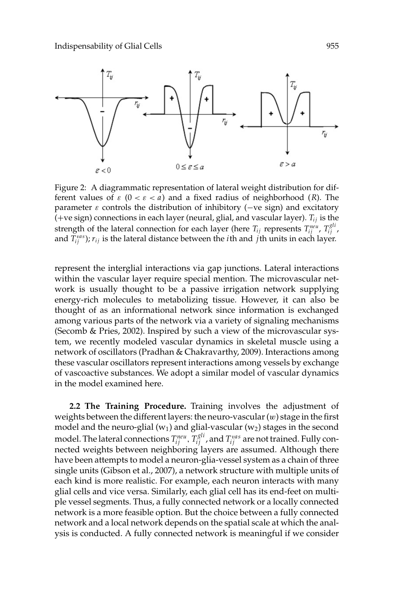

Figure 2: A diagrammatic representation of lateral weight distribution for different values of  $\varepsilon$  ( $0 < \varepsilon < a$ ) and a fixed radius of neighborhood (*R*). The parameter  $\varepsilon$  controls the distribution of inhibitory ( $-ve$  sign) and excitatory (+ve sign) connections in each layer (neural, glial, and vascular layer). *T*<sub>*i*</sub> is the strength of the lateral connection for each layer (here  $T_{ij}$  represents  $T_{ij}^{neu}$ ,  $T_{ij}^{gli}$ , and  $T_{ij}^{vas}$ );  $r_{ij}$  is the lateral distance between the *i*th and *j*th units in each layer.

represent the interglial interactions via gap junctions. Lateral interactions within the vascular layer require special mention. The microvascular network is usually thought to be a passive irrigation network supplying energy-rich molecules to metabolizing tissue. However, it can also be thought of as an informational network since information is exchanged among various parts of the network via a variety of signaling mechanisms (Secomb & Pries, 2002). Inspired by such a view of the microvascular system, we recently modeled vascular dynamics in skeletal muscle using a network of oscillators (Pradhan & Chakravarthy, 2009). Interactions among these vascular oscillators represent interactions among vessels by exchange of vascoactive substances. We adopt a similar model of vascular dynamics in the model examined here.

**2.2 The Training Procedure.** Training involves the adjustment of weights between the different layers: the neuro-vascular  $(w)$  stage in the first model and the neuro-glial ( $w_1$ ) and glial-vascular ( $w_2$ ) stages in the second model. The lateral connections  $T_{ij}^{neu}$  ,  $T_{ij}^{gli}$  , and  $T_{ij}^{vas}$  are not trained. Fully connected weights between neighboring layers are assumed. Although there have been attempts to model a neuron-glia-vessel system as a chain of three single units (Gibson et al., 2007), a network structure with multiple units of each kind is more realistic. For example, each neuron interacts with many glial cells and vice versa. Similarly, each glial cell has its end-feet on multiple vessel segments. Thus, a fully connected network or a locally connected network is a more feasible option. But the choice between a fully connected network and a local network depends on the spatial scale at which the analysis is conducted. A fully connected network is meaningful if we consider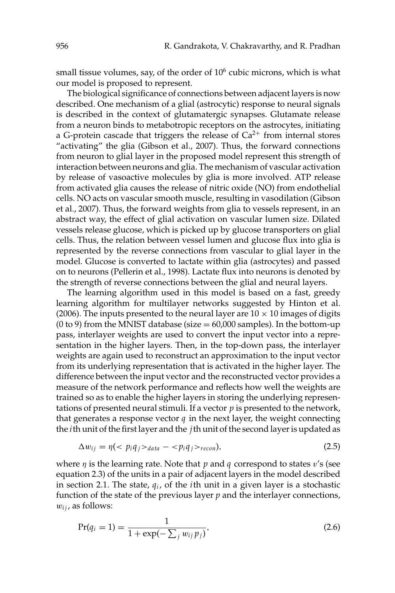small tissue volumes, say, of the order of  $10^6$  cubic microns, which is what our model is proposed to represent.

The biological significance of connections between adjacent layers is now described. One mechanism of a glial (astrocytic) response to neural signals is described in the context of glutamatergic synapses. Glutamate release from a neuron binds to metabotropic receptors on the astrocytes, initiating a G-protein cascade that triggers the release of  $Ca^{2+}$  from internal stores "activating" the glia (Gibson et al., 2007). Thus, the forward connections from neuron to glial layer in the proposed model represent this strength of interaction between neurons and glia. The mechanism of vascular activation by release of vasoactive molecules by glia is more involved. ATP release from activated glia causes the release of nitric oxide (NO) from endothelial cells. NO acts on vascular smooth muscle, resulting in vasodilation (Gibson et al., 2007). Thus, the forward weights from glia to vessels represent, in an abstract way, the effect of glial activation on vascular lumen size. Dilated vessels release glucose, which is picked up by glucose transporters on glial cells. Thus, the relation between vessel lumen and glucose flux into glia is represented by the reverse connections from vascular to glial layer in the model. Glucose is converted to lactate within glia (astrocytes) and passed on to neurons (Pellerin et al., 1998). Lactate flux into neurons is denoted by the strength of reverse connections between the glial and neural layers.

The learning algorithm used in this model is based on a fast, greedy learning algorithm for multilayer networks suggested by Hinton et al. (2006). The inputs presented to the neural layer are  $10 \times 10$  images of digits (0 to 9) from the MNIST database (size  $= 60,000$  samples). In the bottom-up pass, interlayer weights are used to convert the input vector into a representation in the higher layers. Then, in the top-down pass, the interlayer weights are again used to reconstruct an approximation to the input vector from its underlying representation that is activated in the higher layer. The difference between the input vector and the reconstructed vector provides a measure of the network performance and reflects how well the weights are trained so as to enable the higher layers in storing the underlying representations of presented neural stimuli. If a vector *p* is presented to the network, that generates a response vector *q* in the next layer, the weight connecting the *i*th unit of the first layer and the *j*th unit of the second layer is updated as

$$
\Delta w_{ij} = \eta \left( \langle p_i q_j \rangle_{data} - \langle p_i q_j \rangle_{recon} \right),\tag{2.5}
$$

where η is the learning rate. Note that *p* and *q* correspond to states v's (see equation 2.3) of the units in a pair of adjacent layers in the model described in section 2.1. The state, *q<sup>i</sup>* , of the *i*th unit in a given layer is a stochastic function of the state of the previous layer *p* and the interlayer connections,  $w_{ij}$ , as follows:

$$
\Pr(q_i = 1) = \frac{1}{1 + \exp(-\sum_j w_{ij} p_j)},\tag{2.6}
$$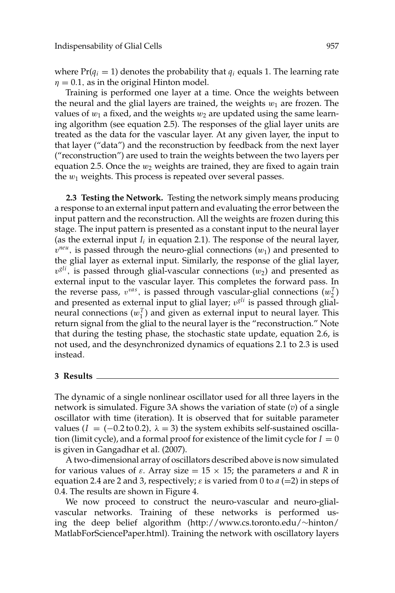where  $Pr(q_i = 1)$  denotes the probability that  $q_i$  equals 1. The learning rate  $\eta = 0.1$ , as in the original Hinton model.

Training is performed one layer at a time. Once the weights between the neural and the glial layers are trained, the weights  $w_1$  are frozen. The values of  $w_1$  a fixed, and the weights  $w_2$  are updated using the same learning algorithm (see equation 2.5). The responses of the glial layer units are treated as the data for the vascular layer. At any given layer, the input to that layer ("data") and the reconstruction by feedback from the next layer ("reconstruction") are used to train the weights between the two layers per equation 2.5. Once the  $w_2$  weights are trained, they are fixed to again train the  $w_1$  weights. This process is repeated over several passes.

**2.3 Testing the Network.** Testing the network simply means producing a response to an external input pattern and evaluating the error between the input pattern and the reconstruction. All the weights are frozen during this stage. The input pattern is presented as a constant input to the neural layer (as the external input  $I_i$  in equation 2.1). The response of the neural layer,  $v^{neu}$ , is passed through the neuro-glial connections  $(w_1)$  and presented to the glial layer as external input. Similarly, the response of the glial layer,  $v<sup>gli</sup>$ , is passed through glial-vascular connections  $(w<sub>2</sub>)$  and presented as external input to the vascular layer. This completes the forward pass. In the reverse pass,  $v^{vas}$ , is passed through vascular-glial connections  $(w_2^T)$ and presented as external input to glial layer; v *gli* is passed through glialneural connections  $(w_1^T)$  and given as external input to neural layer. This return signal from the glial to the neural layer is the "reconstruction." Note that during the testing phase, the stochastic state update, equation 2.6, is not used, and the desynchronized dynamics of equations 2.1 to 2.3 is used instead.

### **3 Results**

The dynamic of a single nonlinear oscillator used for all three layers in the network is simulated. Figure 3A shows the variation of state (*v*) of a single oscillator with time (iteration). It is observed that for suitable parameter values ( $I = (-0.2 \text{ to } 0.2)$ ,  $\lambda = 3$ ) the system exhibits self-sustained oscillation (limit cycle), and a formal proof for existence of the limit cycle for  $I = 0$ is given in Gangadhar et al. (2007).

A two-dimensional array of oscillators described above is now simulated for various values of  $\varepsilon$ . Array size  $= 15 \times 15$ ; the parameters *a* and *R* in equation 2.4 are 2 and 3, respectively;  $\varepsilon$  is varied from 0 to  $a (=2)$  in steps of 0.4. The results are shown in Figure 4.

We now proceed to construct the neuro-vascular and neuro-glialvascular networks. Training of these networks is performed using the deep belief algorithm (http://www.cs.toronto.edu/∼hinton/ MatlabForSciencePaper.html). Training the network with oscillatory layers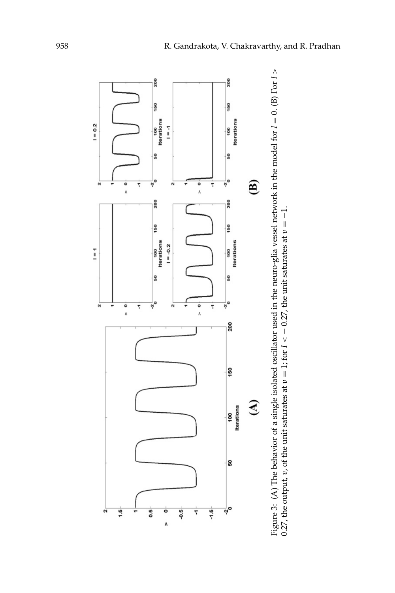

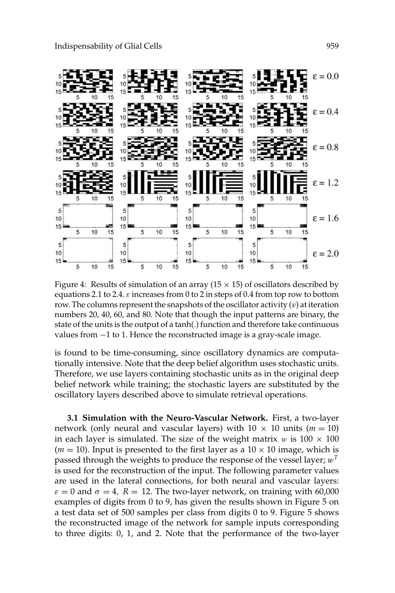

Figure 4: Results of simulation of an array ( $15 \times 15$ ) of oscillators described by equations 2.1 to 2.4.  $\varepsilon$  increases from 0 to 2 in steps of 0.4 from top row to bottom row. The columns represent the snapshots of the oscillator activity  $(v)$  at iteration numbers 20, 40, 60, and 80. Note that though the input patterns are binary, the state of the units is the output of a tanh(.) function and therefore take continuous values from −1 to 1. Hence the reconstructed image is a gray-scale image.

is found to be time-consuming, since oscillatory dynamics are computationally intensive. Note that the deep belief algorithm uses stochastic units. Therefore, we use layers containing stochastic units as in the original deep belief network while training; the stochastic layers are substituted by the oscillatory layers described above to simulate retrieval operations.

**3.1 Simulation with the Neuro-Vascular Network.** First, a two-layer network (only neural and vascular layers) with  $10 \times 10$  units ( $m = 10$ ) in each layer is simulated. The size of the weight matrix w is  $100 \times 100$  $(m = 10)$ . Input is presented to the first layer as a  $10 \times 10$  image, which is passed through the weights to produce the response of the vessel layer; w*<sup>T</sup>* is used for the reconstruction of the input. The following parameter values are used in the lateral connections, for both neural and vascular layers:  $\varepsilon = 0$  and  $\sigma = 4$ ,  $R = 12$ . The two-layer network, on training with 60,000 examples of digits from 0 to 9, has given the results shown in Figure 5 on a test data set of 500 samples per class from digits 0 to 9. Figure 5 shows the reconstructed image of the network for sample inputs corresponding to three digits: 0, 1, and 2. Note that the performance of the two-layer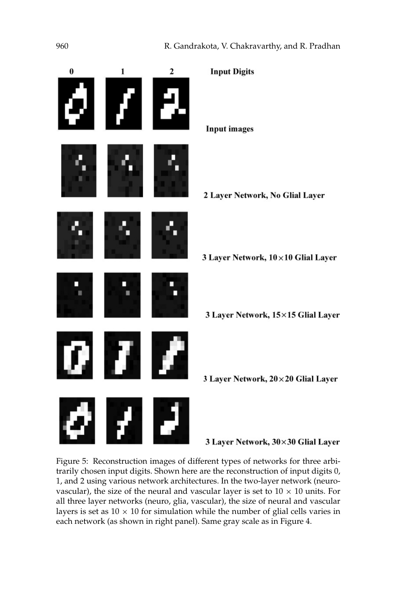

Figure 5: Reconstruction images of different types of networks for three arbitrarily chosen input digits. Shown here are the reconstruction of input digits 0, 1, and 2 using various network architectures. In the two-layer network (neurovascular), the size of the neural and vascular layer is set to  $10 \times 10$  units. For all three layer networks (neuro, glia, vascular), the size of neural and vascular layers is set as  $10 \times 10$  for simulation while the number of glial cells varies in each network (as shown in right panel). Same gray scale as in Figure 4.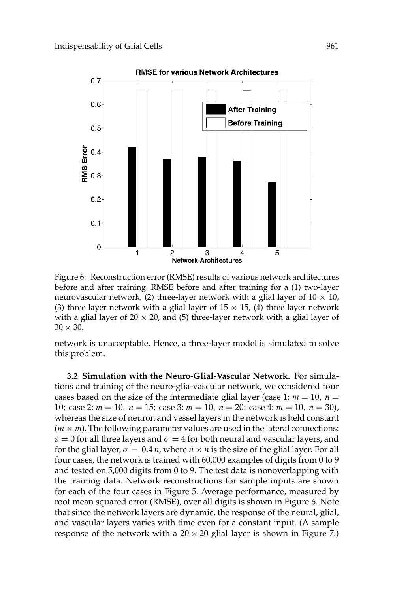

Figure 6: Reconstruction error (RMSE) results of various network architectures before and after training. RMSE before and after training for a (1) two-layer neurovascular network, (2) three-layer network with a glial layer of  $10 \times 10$ , (3) three-layer network with a glial layer of  $15 \times 15$ , (4) three-layer network with a glial layer of 20  $\times$  20, and (5) three-layer network with a glial layer of  $30 \times 30$ .

network is unacceptable. Hence, a three-layer model is simulated to solve this problem.

**3.2 Simulation with the Neuro-Glial-Vascular Network.** For simulations and training of the neuro-glia-vascular network, we considered four cases based on the size of the intermediate glial layer (case 1:  $m = 10$ ,  $n =$ 10; case 2: *m* = 10, *n* = 15; case 3: *m* = 10, *n* = 20; case 4: *m* = 10, *n* = 30), whereas the size of neuron and vessel layers in the network is held constant  $(m \times m)$ . The following parameter values are used in the lateral connections:  $\varepsilon = 0$  for all three layers and  $\sigma = 4$  for both neural and vascular layers, and for the glial layer,  $\sigma = 0.4 n$ , where  $n \times n$  is the size of the glial layer. For all four cases, the network is trained with 60,000 examples of digits from 0 to 9 and tested on 5,000 digits from 0 to 9. The test data is nonoverlapping with the training data. Network reconstructions for sample inputs are shown for each of the four cases in Figure 5. Average performance, measured by root mean squared error (RMSE), over all digits is shown in Figure 6. Note that since the network layers are dynamic, the response of the neural, glial, and vascular layers varies with time even for a constant input. (A sample response of the network with a  $20 \times 20$  glial layer is shown in Figure 7.)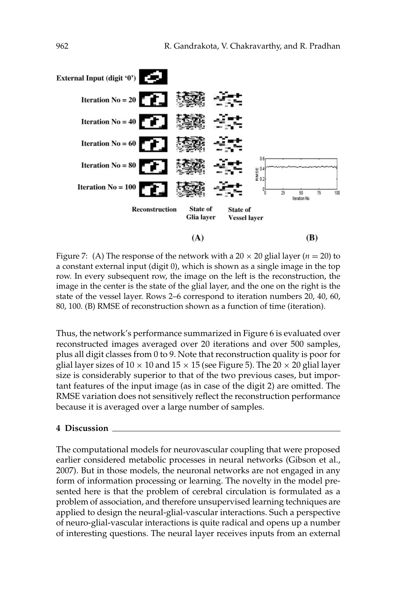

Figure 7: (A) The response of the network with a  $20 \times 20$  glial layer ( $n = 20$ ) to a constant external input (digit 0), which is shown as a single image in the top row. In every subsequent row, the image on the left is the reconstruction, the image in the center is the state of the glial layer, and the one on the right is the state of the vessel layer. Rows 2–6 correspond to iteration numbers 20, 40, 60, 80, 100. (B) RMSE of reconstruction shown as a function of time (iteration).

Thus, the network's performance summarized in Figure 6 is evaluated over reconstructed images averaged over 20 iterations and over 500 samples, plus all digit classes from 0 to 9. Note that reconstruction quality is poor for glial layer sizes of  $10 \times 10$  and  $15 \times 15$  (see Figure 5). The  $20 \times 20$  glial layer size is considerably superior to that of the two previous cases, but important features of the input image (as in case of the digit 2) are omitted. The RMSE variation does not sensitively reflect the reconstruction performance because it is averaged over a large number of samples.

#### **4 Discussion**

The computational models for neurovascular coupling that were proposed earlier considered metabolic processes in neural networks (Gibson et al., 2007). But in those models, the neuronal networks are not engaged in any form of information processing or learning. The novelty in the model presented here is that the problem of cerebral circulation is formulated as a problem of association, and therefore unsupervised learning techniques are applied to design the neural-glial-vascular interactions. Such a perspective of neuro-glial-vascular interactions is quite radical and opens up a number of interesting questions. The neural layer receives inputs from an external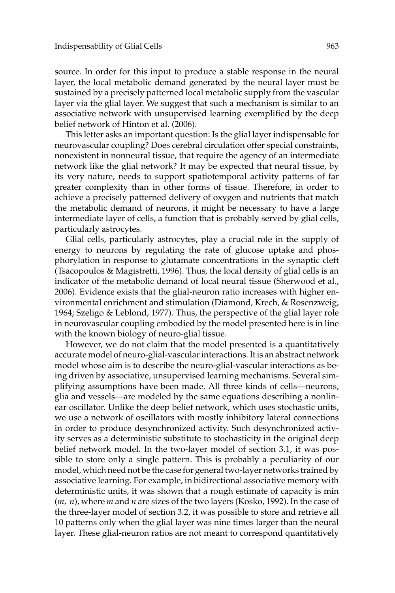source. In order for this input to produce a stable response in the neural layer, the local metabolic demand generated by the neural layer must be sustained by a precisely patterned local metabolic supply from the vascular layer via the glial layer. We suggest that such a mechanism is similar to an associative network with unsupervised learning exemplified by the deep belief network of Hinton et al. (2006).

This letter asks an important question: Is the glial layer indispensable for neurovascular coupling? Does cerebral circulation offer special constraints, nonexistent in nonneural tissue, that require the agency of an intermediate network like the glial network? It may be expected that neural tissue, by its very nature, needs to support spatiotemporal activity patterns of far greater complexity than in other forms of tissue. Therefore, in order to achieve a precisely patterned delivery of oxygen and nutrients that match the metabolic demand of neurons, it might be necessary to have a large intermediate layer of cells, a function that is probably served by glial cells, particularly astrocytes.

Glial cells, particularly astrocytes, play a crucial role in the supply of energy to neurons by regulating the rate of glucose uptake and phosphorylation in response to glutamate concentrations in the synaptic cleft (Tsacopoulos & Magistretti, 1996). Thus, the local density of glial cells is an indicator of the metabolic demand of local neural tissue (Sherwood et al., 2006). Evidence exists that the glial-neuron ratio increases with higher environmental enrichment and stimulation (Diamond, Krech, & Rosenzweig, 1964; Szeligo & Leblond, 1977). Thus, the perspective of the glial layer role in neurovascular coupling embodied by the model presented here is in line with the known biology of neuro-glial tissue.

However, we do not claim that the model presented is a quantitatively accurate model of neuro-glial-vascular interactions. It is an abstract network model whose aim is to describe the neuro-glial-vascular interactions as being driven by associative, unsupervised learning mechanisms. Several simplifying assumptions have been made. All three kinds of cells—neurons, glia and vessels—are modeled by the same equations describing a nonlinear oscillator. Unlike the deep belief network, which uses stochastic units, we use a network of oscillators with mostly inhibitory lateral connections in order to produce desynchronized activity. Such desynchronized activity serves as a deterministic substitute to stochasticity in the original deep belief network model. In the two-layer model of section 3.1, it was possible to store only a single pattern. This is probably a peculiarity of our model, which need not be the case for general two-layer networks trained by associative learning. For example, in bidirectional associative memory with deterministic units, it was shown that a rough estimate of capacity is min (*m, n*), where *m* and *n* are sizes of the two layers (Kosko, 1992). In the case of the three-layer model of section 3.2, it was possible to store and retrieve all 10 patterns only when the glial layer was nine times larger than the neural layer. These glial-neuron ratios are not meant to correspond quantitatively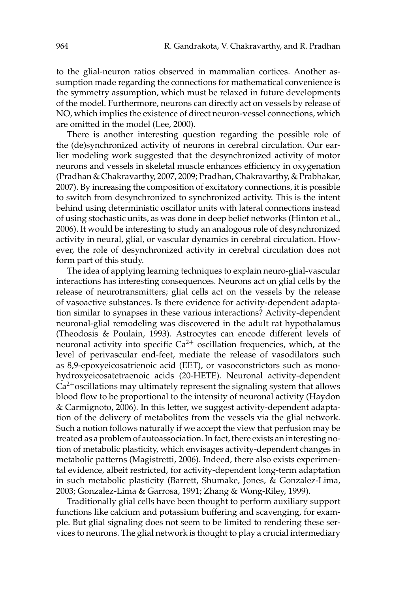to the glial-neuron ratios observed in mammalian cortices. Another assumption made regarding the connections for mathematical convenience is the symmetry assumption, which must be relaxed in future developments of the model. Furthermore, neurons can directly act on vessels by release of NO, which implies the existence of direct neuron-vessel connections, which are omitted in the model (Lee, 2000).

There is another interesting question regarding the possible role of the (de)synchronized activity of neurons in cerebral circulation. Our earlier modeling work suggested that the desynchronized activity of motor neurons and vessels in skeletal muscle enhances efficiency in oxygenation (Pradhan & Chakravarthy, 2007, 2009; Pradhan, Chakravarthy, & Prabhakar, 2007). By increasing the composition of excitatory connections, it is possible to switch from desynchronized to synchronized activity. This is the intent behind using deterministic oscillator units with lateral connections instead of using stochastic units, as was done in deep belief networks (Hinton et al., 2006). It would be interesting to study an analogous role of desynchronized activity in neural, glial, or vascular dynamics in cerebral circulation. However, the role of desynchronized activity in cerebral circulation does not form part of this study.

The idea of applying learning techniques to explain neuro-glial-vascular interactions has interesting consequences. Neurons act on glial cells by the release of neurotransmitters; glial cells act on the vessels by the release of vasoactive substances. Is there evidence for activity-dependent adaptation similar to synapses in these various interactions? Activity-dependent neuronal-glial remodeling was discovered in the adult rat hypothalamus (Theodosis & Poulain, 1993). Astrocytes can encode different levels of neuronal activity into specific  $Ca^{2+}$  oscillation frequencies, which, at the level of perivascular end-feet, mediate the release of vasodilators such as 8,9-epoxyeicosatrienoic acid (EET), or vasoconstrictors such as monohydroxyeicosatetraenoic acids (20-HETE). Neuronal activity-dependent  $Ca<sup>2+</sup>$  oscillations may ultimately represent the signaling system that allows blood flow to be proportional to the intensity of neuronal activity (Haydon & Carmignoto, 2006). In this letter, we suggest activity-dependent adaptation of the delivery of metabolites from the vessels via the glial network. Such a notion follows naturally if we accept the view that perfusion may be treated as a problem of autoassociation. In fact, there exists an interesting notion of metabolic plasticity, which envisages activity-dependent changes in metabolic patterns (Magistretti, 2006). Indeed, there also exists experimental evidence, albeit restricted, for activity-dependent long-term adaptation in such metabolic plasticity (Barrett, Shumake, Jones, & Gonzalez-Lima, 2003; Gonzalez-Lima & Garrosa, 1991; Zhang & Wong-Riley, 1999).

Traditionally glial cells have been thought to perform auxiliary support functions like calcium and potassium buffering and scavenging, for example. But glial signaling does not seem to be limited to rendering these services to neurons. The glial network is thought to play a crucial intermediary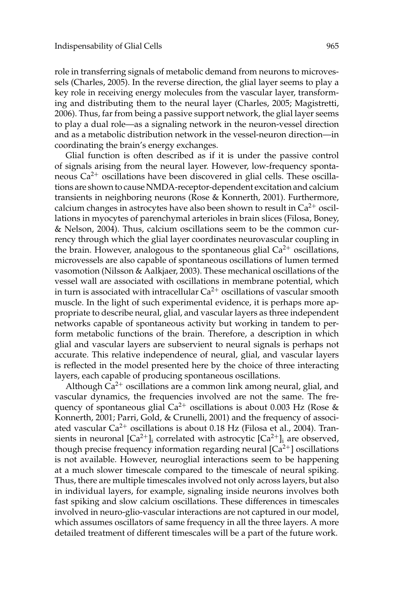role in transferring signals of metabolic demand from neurons to microvessels (Charles, 2005). In the reverse direction, the glial layer seems to play a key role in receiving energy molecules from the vascular layer, transforming and distributing them to the neural layer (Charles, 2005; Magistretti, 2006). Thus, far from being a passive support network, the glial layer seems to play a dual role—as a signaling network in the neuron-vessel direction and as a metabolic distribution network in the vessel-neuron direction—in coordinating the brain's energy exchanges.

Glial function is often described as if it is under the passive control of signals arising from the neural layer. However, low-frequency spontaneous  $Ca^{2+}$  oscillations have been discovered in glial cells. These oscillations are shown to cause NMDA-receptor-dependent excitation and calcium transients in neighboring neurons (Rose & Konnerth, 2001). Furthermore, calcium changes in astrocytes have also been shown to result in  $Ca^{2+}$  oscillations in myocytes of parenchymal arterioles in brain slices (Filosa, Boney, & Nelson, 2004). Thus, calcium oscillations seem to be the common currency through which the glial layer coordinates neurovascular coupling in the brain. However, analogous to the spontaneous glial  $Ca^{2+}$  oscillations, microvessels are also capable of spontaneous oscillations of lumen termed vasomotion (Nilsson & Aalkjaer, 2003). These mechanical oscillations of the vessel wall are associated with oscillations in membrane potential, which in turn is associated with intracellular  $Ca^{2+}$  oscillations of vascular smooth muscle. In the light of such experimental evidence, it is perhaps more appropriate to describe neural, glial, and vascular layers as three independent networks capable of spontaneous activity but working in tandem to perform metabolic functions of the brain. Therefore, a description in which glial and vascular layers are subservient to neural signals is perhaps not accurate. This relative independence of neural, glial, and vascular layers is reflected in the model presented here by the choice of three interacting layers, each capable of producing spontaneous oscillations.

Although  $Ca^{2+}$  oscillations are a common link among neural, glial, and vascular dynamics, the frequencies involved are not the same. The frequency of spontaneous glial  $Ca^{2+}$  oscillations is about 0.003 Hz (Rose & Konnerth, 2001; Parri, Gold, & Crunelli, 2001) and the frequency of associated vascular  $Ca^{2+}$  oscillations is about 0.18 Hz (Filosa et al., 2004). Transients in neuronal  $\lbrack Ca^{2+}\rbrack$  correlated with astrocytic  $\lbrack Ca^{2+}\rbrack$  are observed, though precise frequency information regarding neural  $[Ca^{2+}]$  oscillations is not available. However, neuroglial interactions seem to be happening at a much slower timescale compared to the timescale of neural spiking. Thus, there are multiple timescales involved not only across layers, but also in individual layers, for example, signaling inside neurons involves both fast spiking and slow calcium oscillations. These differences in timescales involved in neuro-glio-vascular interactions are not captured in our model, which assumes oscillators of same frequency in all the three layers. A more detailed treatment of different timescales will be a part of the future work.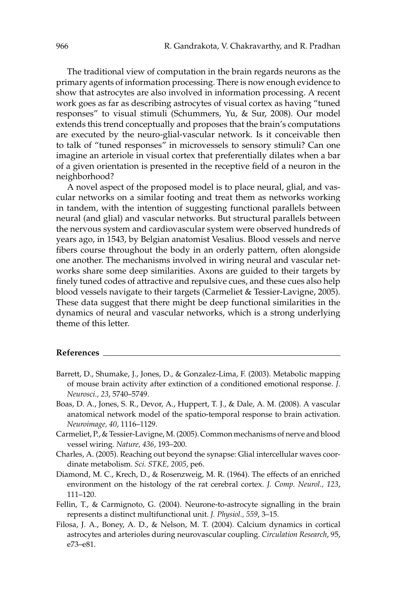The traditional view of computation in the brain regards neurons as the primary agents of information processing. There is now enough evidence to show that astrocytes are also involved in information processing. A recent work goes as far as describing astrocytes of visual cortex as having "tuned responses" to visual stimuli (Schummers, Yu, & Sur, 2008). Our model extends this trend conceptually and proposes that the brain's computations are executed by the neuro-glial-vascular network. Is it conceivable then to talk of "tuned responses" in microvessels to sensory stimuli? Can one imagine an arteriole in visual cortex that preferentially dilates when a bar of a given orientation is presented in the receptive field of a neuron in the neighborhood?

A novel aspect of the proposed model is to place neural, glial, and vascular networks on a similar footing and treat them as networks working in tandem, with the intention of suggesting functional parallels between neural (and glial) and vascular networks. But structural parallels between the nervous system and cardiovascular system were observed hundreds of years ago, in 1543, by Belgian anatomist Vesalius. Blood vessels and nerve fibers course throughout the body in an orderly pattern, often alongside one another. The mechanisms involved in wiring neural and vascular networks share some deep similarities. Axons are guided to their targets by finely tuned codes of attractive and repulsive cues, and these cues also help blood vessels navigate to their targets (Carmeliet & Tessier-Lavigne, 2005). These data suggest that there might be deep functional similarities in the dynamics of neural and vascular networks, which is a strong underlying theme of this letter.

### **References**

- Barrett, D., Shumake, J., Jones, D., & Gonzalez-Lima, F. (2003). Metabolic mapping of mouse brain activity after extinction of a conditioned emotional response. *J. Neurosci., 23*, 5740–5749.
- Boas, D. A., Jones, S. R., Devor, A., Huppert, T. J., & Dale, A. M. (2008). A vascular anatomical network model of the spatio-temporal response to brain activation. *Neuroimage, 40*, 1116–1129.
- Carmeliet, P., & Tessier-Lavigne, M. (2005). Common mechanisms of nerve and blood vessel wiring. *Nature, 436*, 193–200.
- Charles, A. (2005). Reaching out beyond the synapse: Glial intercellular waves coordinate metabolism. *Sci. STKE, 2005*, pe6.
- Diamond, M. C., Krech, D., & Rosenzweig, M. R. (1964). The effects of an enriched environment on the histology of the rat cerebral cortex. *J. Comp. Neurol., 123*, 111–120.
- Fellin, T., & Carmignoto, G. (2004). Neurone-to-astrocyte signalling in the brain represents a distinct multifunctional unit. *J. Physiol., 559*, 3–15.
- Filosa, J. A., Boney, A. D., & Nelson, M. T. (2004). Calcium dynamics in cortical astrocytes and arterioles during neurovascular coupling. *Circulation Research*, 95, e73–e81.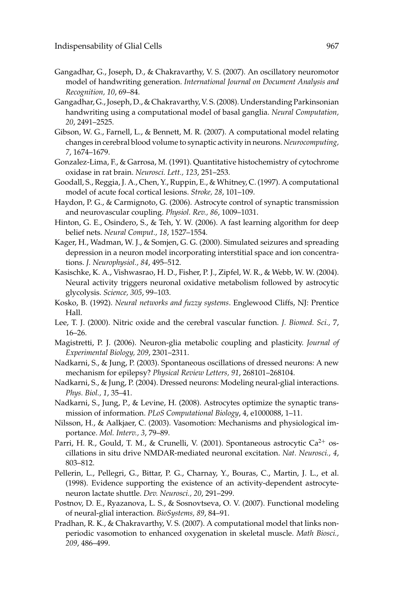- Gangadhar, G., Joseph, D., & Chakravarthy, V. S. (2007). An oscillatory neuromotor model of handwriting generation. *International Journal on Document Analysis and Recognition, 10*, 69–84.
- Gangadhar, G., Joseph, D., & Chakravarthy, V. S. (2008). Understanding Parkinsonian handwriting using a computational model of basal ganglia. *Neural Computation, 20*, 2491–2525.
- Gibson, W. G., Farnell, L., & Bennett, M. R. (2007). A computational model relating changes in cerebral blood volume to synaptic activity in neurons. *Neurocomputing, 7*, 1674–1679.
- Gonzalez-Lima, F., & Garrosa, M. (1991). Quantitative histochemistry of cytochrome oxidase in rat brain. *Neurosci. Lett., 123*, 251–253.
- Goodall, S., Reggia, J. A., Chen, Y., Ruppin, E., & Whitney, C. (1997). A computational model of acute focal cortical lesions. *Stroke, 28*, 101–109.
- Haydon, P. G., & Carmignoto, G. (2006). Astrocyte control of synaptic transmission and neurovascular coupling. *Physiol. Rev., 86*, 1009–1031.
- Hinton, G. E., Osindero, S., & Teh, Y. W. (2006). A fast learning algorithm for deep belief nets. *Neural Comput., 18*, 1527–1554.
- Kager, H., Wadman, W. J., & Somjen, G. G. (2000). Simulated seizures and spreading depression in a neuron model incorporating interstitial space and ion concentrations. *J. Neurophysiol., 84*, 495–512.
- Kasischke, K. A., Vishwasrao, H. D., Fisher, P. J., Zipfel, W. R., & Webb, W. W. (2004). Neural activity triggers neuronal oxidative metabolism followed by astrocytic glycolysis. *Science, 305*, 99–103.
- Kosko, B. (1992). *Neural networks and fuzzy systems*. Englewood Cliffs, NJ: Prentice Hall.
- Lee, T. J. (2000). Nitric oxide and the cerebral vascular function. *J. Biomed. Sci.,* 7, 16–26.
- Magistretti, P. J. (2006). Neuron-glia metabolic coupling and plasticity. *Journal of Experimental Biology, 209*, 2301–2311.
- Nadkarni, S., & Jung, P. (2003). Spontaneous oscillations of dressed neurons: A new mechanism for epilepsy? *Physical Review Letters, 91*, 268101–268104.
- Nadkarni, S., & Jung, P. (2004). Dressed neurons: Modeling neural-glial interactions. *Phys. Biol., 1*, 35–41.
- Nadkarni, S., Jung, P., & Levine, H. (2008). Astrocytes optimize the synaptic transmission of information. *PLoS Computational Biology*, 4, e1000088, 1–11.
- Nilsson, H., & Aalkjaer, C. (2003). Vasomotion: Mechanisms and physiological importance. *Mol. Interv., 3*, 79–89.
- Parri, H. R., Gould, T. M., & Crunelli, V. (2001). Spontaneous astrocytic  $Ca^{2+}$  oscillations in situ drive NMDAR-mediated neuronal excitation. *Nat. Neurosci., 4*, 803–812.
- Pellerin, L., Pellegri, G., Bittar, P. G., Charnay, Y., Bouras, C., Martin, J. L., et al. (1998). Evidence supporting the existence of an activity-dependent astrocyteneuron lactate shuttle. *Dev. Neurosci., 20*, 291–299.
- Postnov, D. E., Ryazanova, L. S., & Sosnovtseva, O. V. (2007). Functional modeling of neural-glial interaction. *BioSystems, 89*, 84–91.
- Pradhan, R. K., & Chakravarthy, V. S. (2007). A computational model that links nonperiodic vasomotion to enhanced oxygenation in skeletal muscle. *Math Biosci., 209*, 486–499.